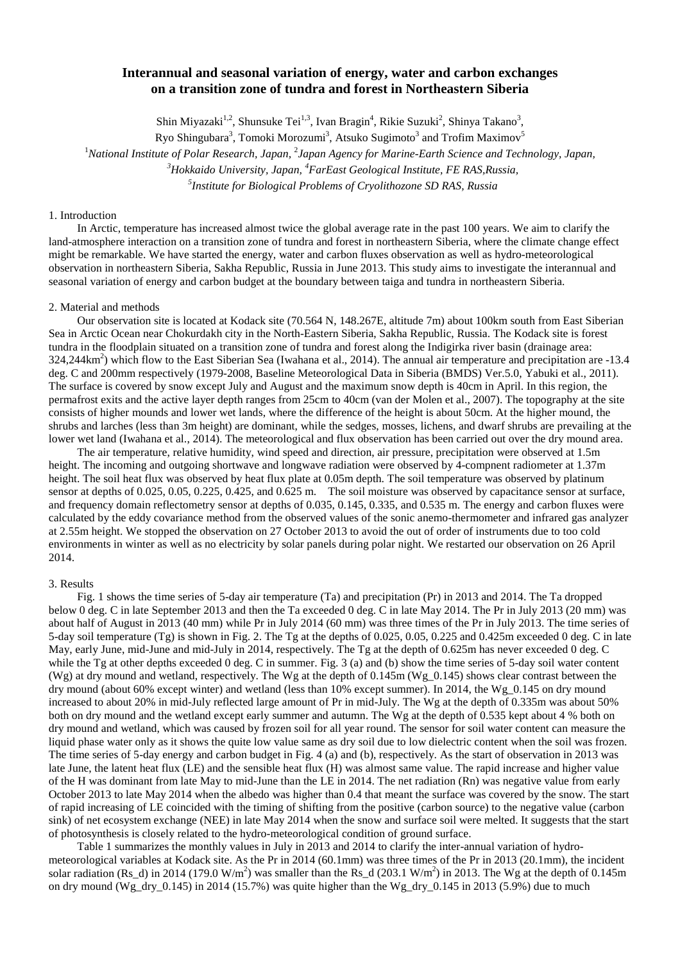# **Interannual and seasonal variation of energy, water and carbon exchanges on a transition zone of tundra and forest in Northeastern Siberia**

Shin Miyazaki<sup>1,2</sup>, Shunsuke Tei<sup>1,3</sup>, Ivan Bragin<sup>4</sup>, Rikie Suzuki<sup>2</sup>, Shinya Takano<sup>3</sup>,

Ryo Shingubara $^3$ , Tomoki Morozumi $^3$ , Atsuko Sugimoto $^3$  and Trofim Maximov $^5$ 

<sup>1</sup>National Institute of Polar Research, Japan, <sup>2</sup>Japan Agency for Marine-Earth Science and Technology, Japan,

*3 Hokkaido University, Japan, <sup>4</sup> FarEast Geological Institute, FE RAS,Russia,*

*5 Institute for Biological Problems of Cryolithozone SD RAS, Russia*

## 1. Introduction

In Arctic, temperature has increased almost twice the global average rate in the past 100 years. We aim to clarify the land-atmosphere interaction on a transition zone of tundra and forest in northeastern Siberia, where the climate change effect might be remarkable. We have started the energy, water and carbon fluxes observation as well as hydro-meteorological observation in northeastern Siberia, Sakha Republic, Russia in June 2013. This study aims to investigate the interannual and seasonal variation of energy and carbon budget at the boundary between taiga and tundra in northeastern Siberia.

#### 2. Material and methods

Our observation site is located at Kodack site (70.564 N, 148.267E, altitude 7m) about 100km south from East Siberian Sea in Arctic Ocean near Chokurdakh city in the North-Eastern Siberia, Sakha Republic, Russia. The Kodack site is forest tundra in the floodplain situated on a transition zone of tundra and forest along the Indigirka river basin (drainage area:  $324,244 \text{km}^2$ ) which flow to the East Siberian Sea (Iwahana et al., 2014). The annual air temperature and precipitation are -13.4 deg. C and 200mm respectively (1979-2008, Baseline Meteorological Data in Siberia (BMDS) Ver.5.0, Yabuki et al., 2011). The surface is covered by snow except July and August and the maximum snow depth is 40cm in April. In this region, the permafrost exits and the active layer depth ranges from 25cm to 40cm (van der Molen et al., 2007). The topography at the site consists of higher mounds and lower wet lands, where the difference of the height is about 50cm. At the higher mound, the shrubs and larches (less than 3m height) are dominant, while the sedges, mosses, lichens, and dwarf shrubs are prevailing at the lower wet land (Iwahana et al., 2014). The meteorological and flux observation has been carried out over the dry mound area.

The air temperature, relative humidity, wind speed and direction, air pressure, precipitation were observed at 1.5m height. The incoming and outgoing shortwave and longwave radiation were observed by 4-compnent radiometer at 1.37m height. The soil heat flux was observed by heat flux plate at 0.05m depth. The soil temperature was observed by platinum sensor at depths of 0.025, 0.05, 0.225, 0.425, and 0.625 m. The soil moisture was observed by capacitance sensor at surface, and frequency domain reflectometry sensor at depths of 0.035, 0.145, 0.335, and 0.535 m. The energy and carbon fluxes were calculated by the eddy covariance method from the observed values of the sonic anemo-thermometer and infrared gas analyzer at 2.55m height. We stopped the observation on 27 October 2013 to avoid the out of order of instruments due to too cold environments in winter as well as no electricity by solar panels during polar night. We restarted our observation on 26 April 2014.

# 3. Results

Fig. 1 shows the time series of 5-day air temperature (Ta) and precipitation (Pr) in 2013 and 2014. The Ta dropped below 0 deg. C in late September 2013 and then the Ta exceeded 0 deg. C in late May 2014. The Pr in July 2013 (20 mm) was about half of August in 2013 (40 mm) while Pr in July 2014 (60 mm) was three times of the Pr in July 2013. The time series of 5-day soil temperature (Tg) is shown in Fig. 2. The Tg at the depths of 0.025, 0.05, 0.225 and 0.425m exceeded 0 deg. C in late May, early June, mid-June and mid-July in 2014, respectively. The Tg at the depth of 0.625m has never exceeded 0 deg. C while the Tg at other depths exceeded 0 deg. C in summer. Fig. 3 (a) and (b) show the time series of 5-day soil water content (Wg) at dry mound and wetland, respectively. The Wg at the depth of  $0.145m$  (Wg\_0.145) shows clear contrast between the dry mound (about 60% except winter) and wetland (less than 10% except summer). In 2014, the Wg\_0.145 on dry mound increased to about 20% in mid-July reflected large amount of Pr in mid-July. The Wg at the depth of 0.335m was about 50% both on dry mound and the wetland except early summer and autumn. The Wg at the depth of 0.535 kept about 4 % both on dry mound and wetland, which was caused by frozen soil for all year round. The sensor for soil water content can measure the liquid phase water only as it shows the quite low value same as dry soil due to low dielectric content when the soil was frozen. The time series of 5-day energy and carbon budget in Fig. 4 (a) and (b), respectively. As the start of observation in 2013 was late June, the latent heat flux (LE) and the sensible heat flux (H) was almost same value. The rapid increase and higher value of the H was dominant from late May to mid-June than the LE in 2014. The net radiation (Rn) was negative value from early October 2013 to late May 2014 when the albedo was higher than 0.4 that meant the surface was covered by the snow. The start of rapid increasing of LE coincided with the timing of shifting from the positive (carbon source) to the negative value (carbon sink) of net ecosystem exchange (NEE) in late May 2014 when the snow and surface soil were melted. It suggests that the start of photosynthesis is closely related to the hydro-meteorological condition of ground surface.

Table 1 summarizes the monthly values in July in 2013 and 2014 to clarify the inter-annual variation of hydrometeorological variables at Kodack site. As the Pr in 2014 (60.1mm) was three times of the Pr in 2013 (20.1mm), the incident solar radiation (Rs\_d) in 2014 (179.0 W/m<sup>2</sup>) was smaller than the Rs\_d (203.1 W/m<sup>2</sup>) in 2013. The Wg at the depth of 0.145m on dry mound (Wg dry 0.145) in 2014 (15.7%) was quite higher than the Wg dry 0.145 in 2013 (5.9%) due to much